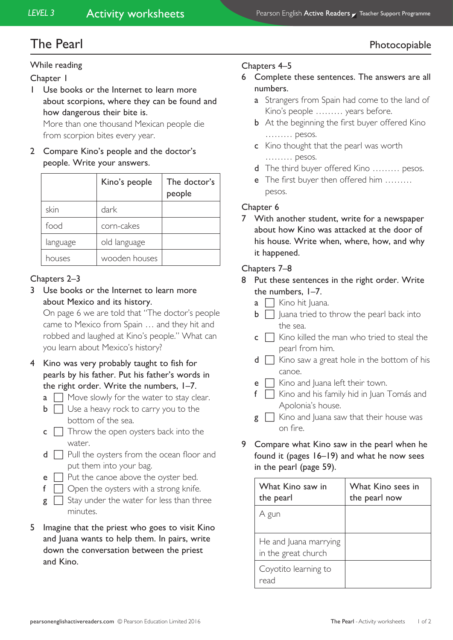# The Pearl Photocopiable and the Pearl Photocopiable Photocopiable and the Photocopiable Photocopiable and  $P$

#### While reading

- Chapter 1
- 1 Use books or the Internet to learn more about scorpions, where they can be found and how dangerous their bite is.

More than one thousand Mexican people die from scorpion bites every year.

2 Compare Kino's people and the doctor's people. Write your answers.

|          | Kino's people | The doctor's<br>people |
|----------|---------------|------------------------|
| skin     | dark          |                        |
| food     | corn-cakes    |                        |
| language | old language  |                        |
| houses   | wooden houses |                        |

## Chapters 2–3

3 Use books or the Internet to learn more about Mexico and its history.

On page 6 we are told that "The doctor's people came to Mexico from Spain … and they hit and robbed and laughed at Kino's people." What can you learn about Mexico's history?

- 4 Kino was very probably taught to fish for pearls by his father. Put his father's words in the right order. Write the numbers, 1–7.
	- $a \Box$  Move slowly for the water to stay clear.
	- $\mathbf{b} \ \Box$  Use a heavy rock to carry you to the bottom of the sea.
	- $\mathsf{c} \ \Box$  Throw the open oysters back into the water.
	- $d \Box$  Pull the oysters from the ocean floor and put them into your bag.
	- $e \Box$  Put the canoe above the oyster bed.
	- $f \cap$  Open the oysters with a strong knife.
	- $g \cap$  Stay under the water for less than three minutes.
- 5 Imagine that the priest who goes to visit Kino and Juana wants to help them. In pairs, write down the conversation between the priest and Kino.

### Chapters 4–5

- 6 Complete these sentences. The answers are all numbers.
	- **a** Strangers from Spain had come to the land of Kino's people ……… years before.
	- **b** At the beginning the first buyer offered Kino ……… pesos.
	- c Kino thought that the pearl was worth ……… pesos.
	- d The third buyer offered Kino ……… pesos.
	- e The first buyer then offered him ……… pesos.

#### Chapter 6

7 With another student, write for a newspaper about how Kino was attacked at the door of his house. Write when, where, how, and why it happened.

### Chapters 7–8

- 8 Put these sentences in the right order. Write the numbers, 1–7.
	- $\overline{a}$   $\overline{\phantom{a}}$  Kino hit Juana.
	- $\mathbf{b} \Box$  Juana tried to throw the pearl back into the sea.
	- $\mathsf{c} \ \Box$  Kino killed the man who tried to steal the pearl from him.
	- $d \Box$  Kino saw a great hole in the bottom of his canoe.
	- $e \cap$  Kino and Juana left their town.
	- $f \Box$  Kino and his family hid in Juan Tomás and Apolonia's house.
	- $g \Box$  Kino and Juana saw that their house was on fire.
- 9 Compare what Kino saw in the pearl when he found it (pages 16–19) and what he now sees in the pearl (page 59).

| What Kino saw in<br>the pearl                | What Kino sees in<br>the pearl now |
|----------------------------------------------|------------------------------------|
| A gun                                        |                                    |
| He and Juana marrying<br>in the great church |                                    |
| Coyotito learning to<br>read                 |                                    |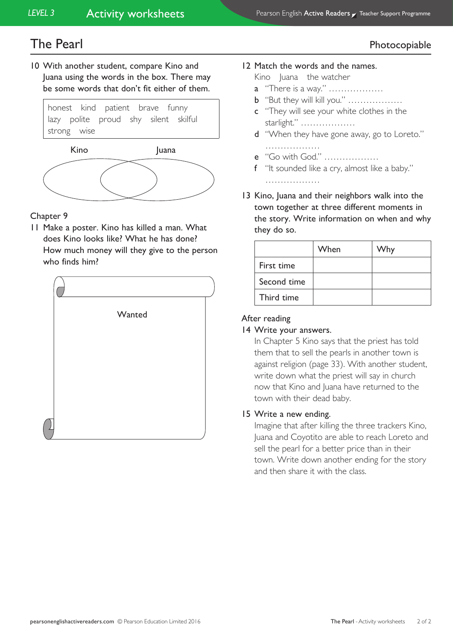# The Pearl Photocopiable and the Pearl Photocopiable Photocopiable

10 With another student, compare Kino and Juana using the words in the box. There may be some words that don't fit either of them.





## **Chapter 9**

11 Make a poster. Kino has killed a man. What does Kino looks like? What he has done? How much money will they give to the person who finds him?



#### 12 Match the words and the names.

Kino Juana the watcher

- a "There is a way." ………………
- b "But they will kill you." ………………
- c "They will see your white clothes in the starlight." ………………
- d "When they have gone away, go to Loreto." ……………………

- e "Go with God." ………………
- f "It sounded like a cry, almost like a baby."

………………

13 Kino, Juana and their neighbors walk into the town together at three different moments in the story. Write information on when and why they do so.

|             | When | Why |
|-------------|------|-----|
| First time  |      |     |
| Second time |      |     |
| Third time  |      |     |

## After reading

## 14 Write your answers.

In Chapter 5 Kino says that the priest has told them that to sell the pearls in another town is against religion (page 33). With another student, write down what the priest will say in church now that Kino and Juana have returned to the town with their dead baby.

## 15 Write a new ending.

Imagine that after killing the three trackers Kino, Juana and Coyotito are able to reach Loreto and sell the pearl for a better price than in their town. Write down another ending for the story and then share it with the class.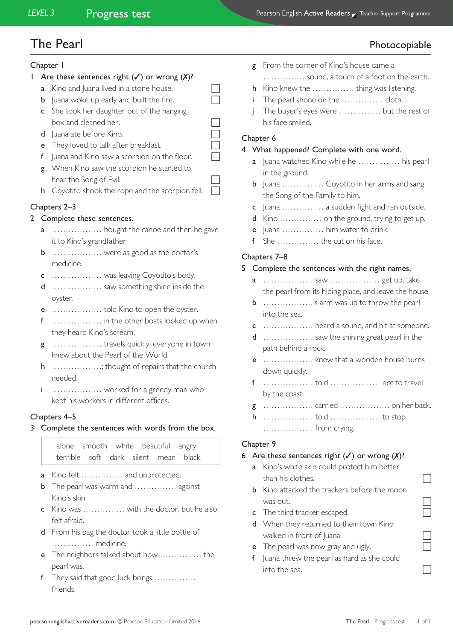## The Pearl Photocopiable and the Pearl Photocopiable Photocopiable and the Photocopiable Photocopiable and  $P$

#### Chapter 1

- 1 Are these sentences right  $(\checkmark)$  or wrong  $(X)$ ?
	- **a** Kino and Juana lived in a stone house.
	- **b** Juana woke up early and built the fire.  $\Box$
	- c She took her daughter out of the hanging  $\Box$  box and cleaned her.
	- $d$  Juana ate before Kino.
	- e They loved to talk after breakfast.
	- f Juana and Kino saw a scorpion on the floor.  $\Box$ g When Kino saw the scorpion he started to hear the Song of Evil.
	- h Coyotito shook the rope and the scorpion fell.

## Chapters 2–3

- 2 Complete these sentences.
	- ................... bought the canoe and then he gave it to Kino's grandfather
	- b ……………… were as good as the doctor's medicine.
	- c ……………… was leaving Coyotito's body.
	- d ……………… saw something shine inside the oyster.
	- e ……………… told Kino to open the oyster.
	- f ……………… in the other boats looked up when they heard Kino's scream.
	- g ……………… travels quickly: everyone in town knew about the Pearl of the World.
	- h ………………; thought of repairs that the church needed.
	- i ……………… worked for a greedy man who kept his workers in different offices.

#### Chapters 4–5

3 Complete the sentences with words from the box.

alone smooth white beautiful angry terrible soft dark silent mean black

- a Kino felt …………… and unprotected.
- **b** The pearl was warm and …………… against Kino's skin.
- c Kino was …………… with the doctor, but he also felt afraid.
- d From his bag the doctor took a little bottle of …………… medicine.
- e The neighbors talked about how …………… the pearl was.
- f They said that good luck brings …………… friends.
- **g** From the corner of Kino's house came a …………… sound, a touch of a foot on the earth. h Kino knew the …………… thing was listening. The pearl shone on the …………… cloth.
- The buyer's eyes were …………… but the rest of his face smiled.

#### Chapter 6

#### 4 What happened? Complete with one word.

- a Juana watched Kino while he …………… his pearl in the ground.
- **b** Juana ................ Coyotito in her arms and sang the Song of the Family to him.
- c Juana …………… a sudden fight and ran outside.
- d Kino …………… on the ground, trying to get up.
- e Juana …………… him water to drink.
- f She …………… the cut on his face.

#### Chapters 7–8

#### 5 Complete the sentences with the right names.

- a ……………… saw ……………… get up, take the pearl from its hiding place, and leave the house.
- b ………………'s arm was up to throw the pearl into the sea.
- c ……………… heard a sound, and hit at someone.
- d ……………… saw the shining great pearl in the path behind a rock.
- e ……………… knew that a wooden house burns down quickly.
- f ……………… told ……………… not to travel by the coast.
- g ……………… carried ……………… on her back.
- h ……………… told ……………… to stop ……………… from crying.

#### Chapter 9

#### 6 Are these sentences right  $(\checkmark)$  or wrong  $(\checkmark)$ ?

- a Kino's white skin could protect him better than his clothes.  $\Box$
- **b** Kino attacked the trackers before the moon was out.
- c The third tracker escaped.
- d When they returned to their town Kino walked in front of luana.
- $e$  The pearl was now gray and ugly.
- f Juana threw the pearl as hard as she could into the sea.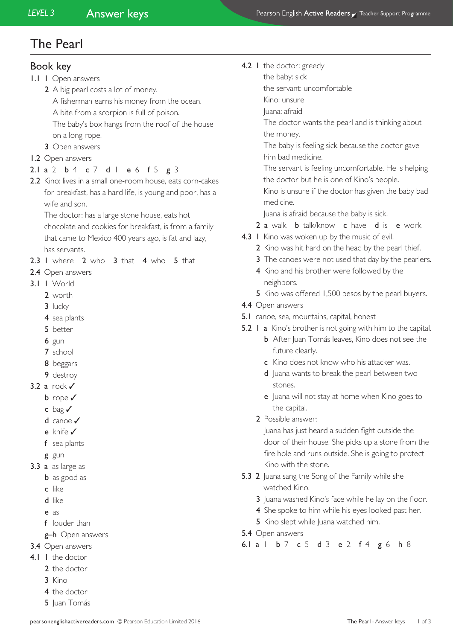## The Pearl

### Book key

1.1 1 Open answers

2 A big pearl costs a lot of money. A fisherman earns his money from the ocean. A bite from a scorpion is full of poison. The baby's box hangs from the roof of the house

- on a long rope.
- 3 Open answers

#### 1.2 Open answers

#### 2.1 a 2 b 4 c 7 d l e 6 f 5 g 3

2.2 Kino: lives in a small one-room house, eats corn-cakes for breakfast, has a hard life, is young and poor, has a wife and son.

The doctor: has a large stone house, eats hot chocolate and cookies for breakfast, is from a family that came to Mexico 400 years ago, is fat and lazy, has servants.

- 2.3 I where 2 who 3 that 4 who 5 that
- 2.4 Open answers
- 3.1 1 World
	- 2 worth
	- 3 lucky
	- 4 sea plants
	- 5 better
	- 6 gun
	- 7 school
	- 8 beggars
	- 9 destroy
- 3.2 a rock√
	- b rope ✓
	- c bag ✓
	- d canoe ✓
	- e knife ✓
	- f sea plants
	- g gun
- 3.3 a as large as
	- **b** as good as
	- c like
	- d like
	- e as
	- f louder than
	- g-h Open answers
- 3.4 Open answers
- 4.1 1 the doctor
	- 2 the doctor
	- 3 Kino
	- 4 the doctor
	- 5 Juan Tomás

#### 4.2 I the doctor: greedy

- the baby: sick
- the servant: uncomfortable
- Kino: unsure
- Juana: afraid

 The doctor wants the pearl and is thinking about the money.

 The baby is feeling sick because the doctor gave him bad medicine.

 The servant is feeling uncomfortable. He is helping the doctor but he is one of Kino's people.

 Kino is unsure if the doctor has given the baby bad medicine.

Juana is afraid because the baby is sick.

- 2 a walk **b** talk/know **c** have **d** is **e** work
- 4.3 I Kino was woken up by the music of evil.
	- 2 Kino was hit hard on the head by the pearl thief.
	- 3 The canoes were not used that day by the pearlers.
	- 4 Kino and his brother were followed by the neighbors.
	- 5 Kino was offered 1,500 pesos by the pearl buyers.
- 4.4 Open answers
- 5.1 canoe, sea, mountains, capital, honest
- 5.2 1 a Kino's brother is not going with him to the capital.
	- **b** After Juan Tomás leaves, Kino does not see the future clearly.
	- c Kino does not know who his attacker was.
	- d Juana wants to break the pearl between two stones.
	- e Juana will not stay at home when Kino goes to the capital.
	- 2 Possible answer:

Juana has just heard a sudden fight outside the door of their house. She picks up a stone from the fire hole and runs outside. She is going to protect Kino with the stone.

- 5.3 2 Juana sang the Song of the Family while she watched Kino.
	- 3 Juana washed Kino's face while he lay on the floor.
	- 4 She spoke to him while his eyes looked past her.
	- 5 Kino slept while Juana watched him.
- 5.4 Open answers

6.1 a 1 b 7 c 5 d 3 e 2 f 4 g 6 h 8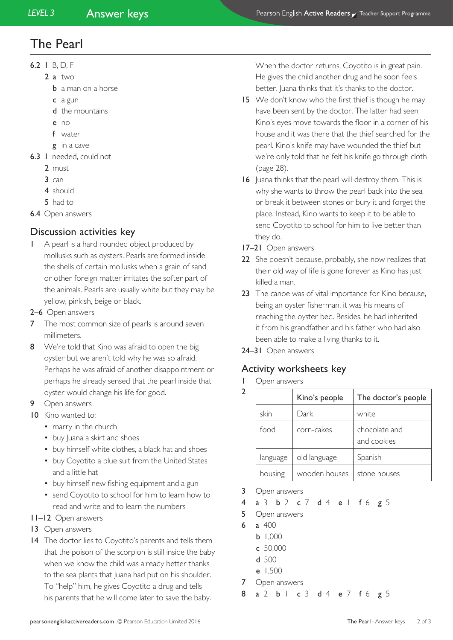# The Pearl

- 6.2 1 B, D, F
	- 2 a two
		- **b** a man on a horse
		- c a gun
		- d the mountains
		- e no
		- f water
		- g in a cave
- 6.3 1 needed, could not
	- 2 must
	- 3 can
	- 4 should
	- 5 had to
- 6.4 Open answers

## Discussion activities key

- 1 A pearl is a hard rounded object produced by mollusks such as oysters. Pearls are formed inside the shells of certain mollusks when a grain of sand or other foreign matter irritates the softer part of the animals. Pearls are usually white but they may be yellow, pinkish, beige or black.
- 2–6 Open answers
- **7** The most common size of pearls is around seven millimeters.
- 8 We're told that Kino was afraid to open the big oyster but we aren't told why he was so afraid. Perhaps he was afraid of another disappointment or perhaps he already sensed that the pearl inside that oyster would change his life for good.
- 9 Open answers
- 10 Kino wanted to:
	- marry in the church
	- buy luana a skirt and shoes
	- buy himself white clothes, a black hat and shoes
	- buy Coyotito a blue suit from the United States and a little hat
	- buy himself new fishing equipment and a gun
	- send Coyotito to school for him to learn how to read and write and to learn the numbers
- 11–12 Open answers
- 13 Open answers
- 14 The doctor lies to Coyotito's parents and tells them that the poison of the scorpion is still inside the baby when we know the child was already better thanks to the sea plants that Juana had put on his shoulder. To "help" him, he gives Coyotito a drug and tells his parents that he will come later to save the baby.

When the doctor returns, Coyotito is in great pain. He gives the child another drug and he soon feels better. Juana thinks that it's thanks to the doctor.

- 15 We don't know who the first thief is though he may have been sent by the doctor. The latter had seen Kino's eyes move towards the floor in a corner of his house and it was there that the thief searched for the pearl. Kino's knife may have wounded the thief but we're only told that he felt his knife go through cloth (page 28).
- 16 Juana thinks that the pearl will destroy them. This is why she wants to throw the pearl back into the sea or break it between stones or bury it and forget the place. Instead, Kino wants to keep it to be able to send Coyotito to school for him to live better than they do.
- 17–21 Open answers
- 22 She doesn't because, probably, she now realizes that their old way of life is gone forever as Kino has just killed a man.
- 23 The canoe was of vital importance for Kino because, being an oyster fisherman, it was his means of reaching the oyster bed. Besides, he had inherited it from his grandfather and his father who had also been able to make a living thanks to it.
- 24–31 Open answers

## Activity worksheets key

1 Open answers  $\overline{2}$ 

|          | Kino's people | The doctor's people          |
|----------|---------------|------------------------------|
| skin     | Dark          | white                        |
| food     | corn-cakes    | chocolate and<br>and cookies |
| language | old language  | Spanish                      |
| housing  | wooden houses | stone houses                 |

3 Open answers

4 a 3 b 2 c 7 d 4 e 1 f 6 g 5

- 5 Open answers
- 6 a 400
	- b 1,000
	- c 50,000
	- d 500
	- e 1,500
- 7 Open answers
- 8 a 2 b 1 c 3 d 4 e 7 f 6 g 5